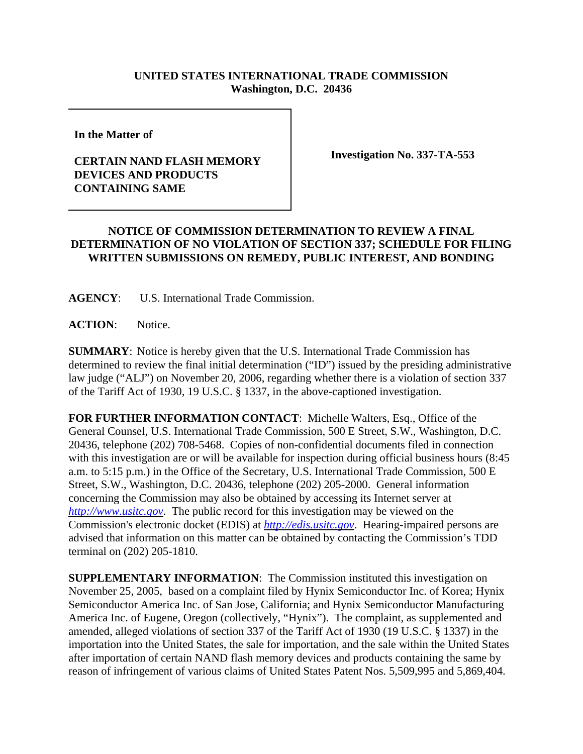## **UNITED STATES INTERNATIONAL TRADE COMMISSION Washington, D.C. 20436**

**In the Matter of** 

## **CERTAIN NAND FLASH MEMORY DEVICES AND PRODUCTS CONTAINING SAME**

**Investigation No. 337-TA-553**

## **NOTICE OF COMMISSION DETERMINATION TO REVIEW A FINAL DETERMINATION OF NO VIOLATION OF SECTION 337; SCHEDULE FOR FILING WRITTEN SUBMISSIONS ON REMEDY, PUBLIC INTEREST, AND BONDING**

**AGENCY**: U.S. International Trade Commission.

**ACTION**: Notice.

**SUMMARY**: Notice is hereby given that the U.S. International Trade Commission has determined to review the final initial determination ("ID") issued by the presiding administrative law judge ("ALJ") on November 20, 2006, regarding whether there is a violation of section 337 of the Tariff Act of 1930, 19 U.S.C. § 1337, in the above-captioned investigation.

**FOR FURTHER INFORMATION CONTACT**: Michelle Walters, Esq., Office of the General Counsel, U.S. International Trade Commission, 500 E Street, S.W., Washington, D.C. 20436, telephone (202) 708-5468. Copies of non-confidential documents filed in connection with this investigation are or will be available for inspection during official business hours (8:45 a.m. to 5:15 p.m.) in the Office of the Secretary, U.S. International Trade Commission, 500 E Street, S.W., Washington, D.C. 20436, telephone (202) 205-2000. General information concerning the Commission may also be obtained by accessing its Internet server at *http://www.usitc.gov*. The public record for this investigation may be viewed on the Commission's electronic docket (EDIS) at *http://edis.usitc.gov*. Hearing-impaired persons are advised that information on this matter can be obtained by contacting the Commission's TDD terminal on (202) 205-1810.

**SUPPLEMENTARY INFORMATION**: The Commission instituted this investigation on November 25, 2005, based on a complaint filed by Hynix Semiconductor Inc. of Korea; Hynix Semiconductor America Inc. of San Jose, California; and Hynix Semiconductor Manufacturing America Inc. of Eugene, Oregon (collectively, "Hynix"). The complaint, as supplemented and amended, alleged violations of section 337 of the Tariff Act of 1930 (19 U.S.C. § 1337) in the importation into the United States, the sale for importation, and the sale within the United States after importation of certain NAND flash memory devices and products containing the same by reason of infringement of various claims of United States Patent Nos. 5,509,995 and 5,869,404.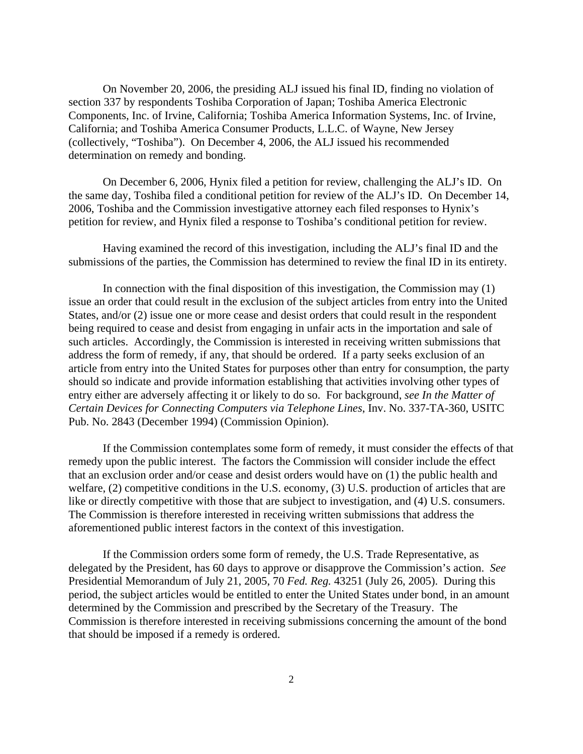On November 20, 2006, the presiding ALJ issued his final ID, finding no violation of section 337 by respondents Toshiba Corporation of Japan; Toshiba America Electronic Components, Inc. of Irvine, California; Toshiba America Information Systems, Inc. of Irvine, California; and Toshiba America Consumer Products, L.L.C. of Wayne, New Jersey (collectively, "Toshiba"). On December 4, 2006, the ALJ issued his recommended determination on remedy and bonding.

On December 6, 2006, Hynix filed a petition for review, challenging the ALJ's ID. On the same day, Toshiba filed a conditional petition for review of the ALJ's ID. On December 14, 2006, Toshiba and the Commission investigative attorney each filed responses to Hynix's petition for review, and Hynix filed a response to Toshiba's conditional petition for review.

Having examined the record of this investigation, including the ALJ's final ID and the submissions of the parties, the Commission has determined to review the final ID in its entirety.

In connection with the final disposition of this investigation, the Commission may (1) issue an order that could result in the exclusion of the subject articles from entry into the United States, and/or (2) issue one or more cease and desist orders that could result in the respondent being required to cease and desist from engaging in unfair acts in the importation and sale of such articles. Accordingly, the Commission is interested in receiving written submissions that address the form of remedy, if any, that should be ordered. If a party seeks exclusion of an article from entry into the United States for purposes other than entry for consumption, the party should so indicate and provide information establishing that activities involving other types of entry either are adversely affecting it or likely to do so. For background, *see In the Matter of Certain Devices for Connecting Computers via Telephone Lines*, Inv. No. 337-TA-360, USITC Pub. No. 2843 (December 1994) (Commission Opinion).

If the Commission contemplates some form of remedy, it must consider the effects of that remedy upon the public interest. The factors the Commission will consider include the effect that an exclusion order and/or cease and desist orders would have on (1) the public health and welfare, (2) competitive conditions in the U.S. economy, (3) U.S. production of articles that are like or directly competitive with those that are subject to investigation, and (4) U.S. consumers. The Commission is therefore interested in receiving written submissions that address the aforementioned public interest factors in the context of this investigation.

If the Commission orders some form of remedy, the U.S. Trade Representative, as delegated by the President, has 60 days to approve or disapprove the Commission's action. *See* Presidential Memorandum of July 21, 2005, 70 *Fed. Reg.* 43251 (July 26, 2005). During this period, the subject articles would be entitled to enter the United States under bond, in an amount determined by the Commission and prescribed by the Secretary of the Treasury. The Commission is therefore interested in receiving submissions concerning the amount of the bond that should be imposed if a remedy is ordered.